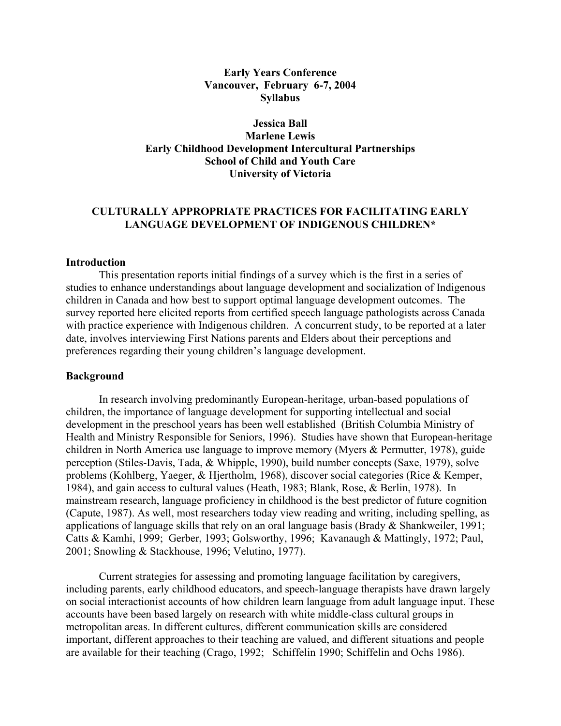### **Early Years Conference Vancouver, February 6-7, 2004 Syllabus**

# **Jessica Ball Marlene Lewis Early Childhood Development Intercultural Partnerships School of Child and Youth Care University of Victoria**

# **CULTURALLY APPROPRIATE PRACTICES FOR FACILITATING EARLY LANGUAGE DEVELOPMENT OF INDIGENOUS CHILDREN\***

#### **Introduction**

This presentation reports initial findings of a survey which is the first in a series of studies to enhance understandings about language development and socialization of Indigenous children in Canada and how best to support optimal language development outcomes. The survey reported here elicited reports from certified speech language pathologists across Canada with practice experience with Indigenous children. A concurrent study, to be reported at a later date, involves interviewing First Nations parents and Elders about their perceptions and preferences regarding their young children's language development.

#### **Background**

In research involving predominantly European-heritage, urban-based populations of children, the importance of language development for supporting intellectual and social development in the preschool years has been well established (British Columbia Ministry of Health and Ministry Responsible for Seniors, 1996). Studies have shown that European-heritage children in North America use language to improve memory (Myers & Permutter, 1978), guide perception (Stiles-Davis, Tada, & Whipple, 1990), build number concepts (Saxe, 1979), solve problems (Kohlberg, Yaeger, & Hjertholm, 1968), discover social categories (Rice & Kemper, 1984), and gain access to cultural values (Heath, 1983; Blank, Rose, & Berlin, 1978). In mainstream research, language proficiency in childhood is the best predictor of future cognition (Capute, 1987). As well, most researchers today view reading and writing, including spelling, as applications of language skills that rely on an oral language basis (Brady & Shankweiler, 1991; Catts & Kamhi, 1999; Gerber, 1993; Golsworthy, 1996; Kavanaugh & Mattingly, 1972; Paul, 2001; Snowling & Stackhouse, 1996; Velutino, 1977).

Current strategies for assessing and promoting language facilitation by caregivers, including parents, early childhood educators, and speech-language therapists have drawn largely on social interactionist accounts of how children learn language from adult language input. These accounts have been based largely on research with white middle-class cultural groups in metropolitan areas. In different cultures, different communication skills are considered important, different approaches to their teaching are valued, and different situations and people are available for their teaching (Crago, 1992; Schiffelin 1990; Schiffelin and Ochs 1986).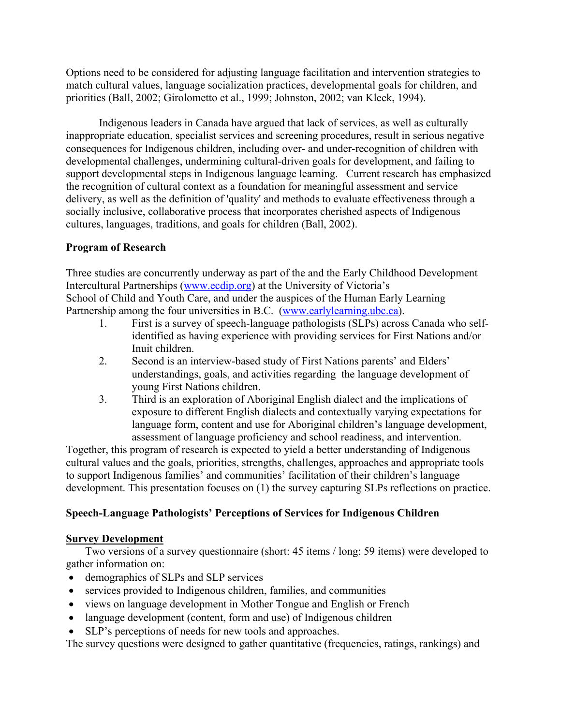Options need to be considered for adjusting language facilitation and intervention strategies to match cultural values, language socialization practices, developmental goals for children, and priorities (Ball, 2002; Girolometto et al., 1999; Johnston, 2002; van Kleek, 1994).

Indigenous leaders in Canada have argued that lack of services, as well as culturally inappropriate education, specialist services and screening procedures, result in serious negative consequences for Indigenous children, including over- and under-recognition of children with developmental challenges, undermining cultural-driven goals for development, and failing to support developmental steps in Indigenous language learning. Current research has emphasized the recognition of cultural context as a foundation for meaningful assessment and service delivery, as well as the definition of 'quality' and methods to evaluate effectiveness through a socially inclusive, collaborative process that incorporates cherished aspects of Indigenous cultures, languages, traditions, and goals for children (Ball, 2002).

# **Program of Research**

Three studies are concurrently underway as part of the and the Early Childhood Development Intercultural Partnerships ([www.ecdip.org\)](http://www.ecdip.org/) at the University of Victoria's School of Child and Youth Care, and under the auspices of the Human Early Learning Partnership among the four universities in B.C. ([www.earlylearning.ubc.ca\)](http://www.earlylearning.ubc.ca/).

- 1. First is a survey of speech-language pathologists (SLPs) across Canada who selfidentified as having experience with providing services for First Nations and/or Inuit children.
- 2. Second is an interview-based study of First Nations parents' and Elders' understandings, goals, and activities regarding the language development of young First Nations children.
- 3. Third is an exploration of Aboriginal English dialect and the implications of exposure to different English dialects and contextually varying expectations for language form, content and use for Aboriginal children's language development, assessment of language proficiency and school readiness, and intervention.

Together, this program of research is expected to yield a better understanding of Indigenous cultural values and the goals, priorities, strengths, challenges, approaches and appropriate tools to support Indigenous families' and communities' facilitation of their children's language development. This presentation focuses on (1) the survey capturing SLPs reflections on practice.

# **Speech-Language Pathologists' Perceptions of Services for Indigenous Children**

# **Survey Development**

Two versions of a survey questionnaire (short: 45 items / long: 59 items) were developed to gather information on:

- demographics of SLPs and SLP services
- services provided to Indigenous children, families, and communities
- views on language development in Mother Tongue and English or French
- language development (content, form and use) of Indigenous children
- SLP's perceptions of needs for new tools and approaches.

The survey questions were designed to gather quantitative (frequencies, ratings, rankings) and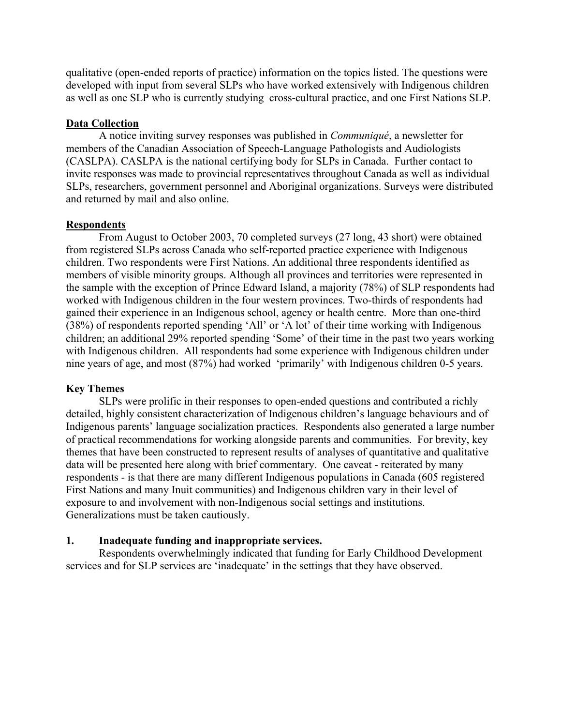qualitative (open-ended reports of practice) information on the topics listed. The questions were developed with input from several SLPs who have worked extensively with Indigenous children as well as one SLP who is currently studying cross-cultural practice, and one First Nations SLP.

# **Data Collection**

A notice inviting survey responses was published in *Communiqué*, a newsletter for members of the Canadian Association of Speech-Language Pathologists and Audiologists (CASLPA). CASLPA is the national certifying body for SLPs in Canada. Further contact to invite responses was made to provincial representatives throughout Canada as well as individual SLPs, researchers, government personnel and Aboriginal organizations. Surveys were distributed and returned by mail and also online.

# **Respondents**

From August to October 2003, 70 completed surveys (27 long, 43 short) were obtained from registered SLPs across Canada who self-reported practice experience with Indigenous children. Two respondents were First Nations. An additional three respondents identified as members of visible minority groups. Although all provinces and territories were represented in the sample with the exception of Prince Edward Island, a majority (78%) of SLP respondents had worked with Indigenous children in the four western provinces. Two-thirds of respondents had gained their experience in an Indigenous school, agency or health centre. More than one-third (38%) of respondents reported spending 'All' or 'A lot' of their time working with Indigenous children; an additional 29% reported spending 'Some' of their time in the past two years working with Indigenous children. All respondents had some experience with Indigenous children under nine years of age, and most (87%) had worked 'primarily' with Indigenous children 0-5 years.

# **Key Themes**

SLPs were prolific in their responses to open-ended questions and contributed a richly detailed, highly consistent characterization of Indigenous children's language behaviours and of Indigenous parents' language socialization practices. Respondents also generated a large number of practical recommendations for working alongside parents and communities. For brevity, key themes that have been constructed to represent results of analyses of quantitative and qualitative data will be presented here along with brief commentary. One caveat - reiterated by many respondents - is that there are many different Indigenous populations in Canada (605 registered First Nations and many Inuit communities) and Indigenous children vary in their level of exposure to and involvement with non-Indigenous social settings and institutions. Generalizations must be taken cautiously.

# **1. Inadequate funding and inappropriate services.**

Respondents overwhelmingly indicated that funding for Early Childhood Development services and for SLP services are 'inadequate' in the settings that they have observed.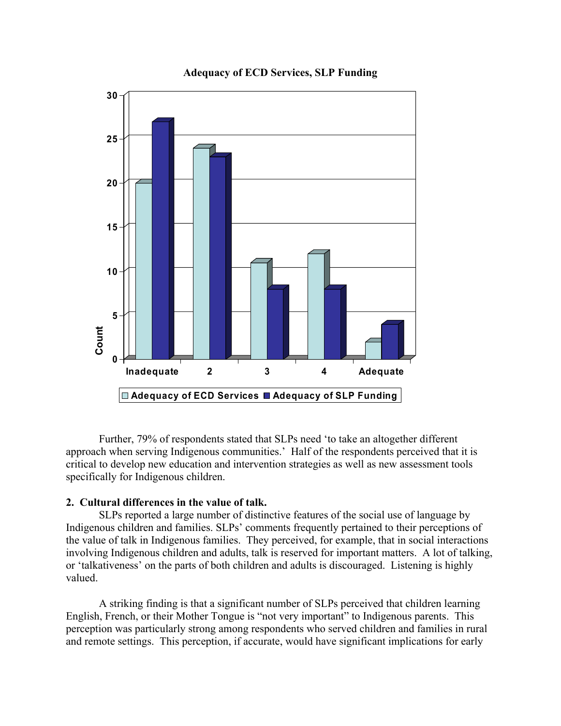

**Adequacy of ECD Services, SLP Funding** 

Further, 79% of respondents stated that SLPs need 'to take an altogether different approach when serving Indigenous communities.' Half of the respondents perceived that it is critical to develop new education and intervention strategies as well as new assessment tools specifically for Indigenous children.

### **2. Cultural differences in the value of talk.**

SLPs reported a large number of distinctive features of the social use of language by Indigenous children and families. SLPs' comments frequently pertained to their perceptions of the value of talk in Indigenous families. They perceived, for example, that in social interactions involving Indigenous children and adults, talk is reserved for important matters. A lot of talking, or 'talkativeness' on the parts of both children and adults is discouraged. Listening is highly valued.

A striking finding is that a significant number of SLPs perceived that children learning English, French, or their Mother Tongue is "not very important" to Indigenous parents. This perception was particularly strong among respondents who served children and families in rural and remote settings. This perception, if accurate, would have significant implications for early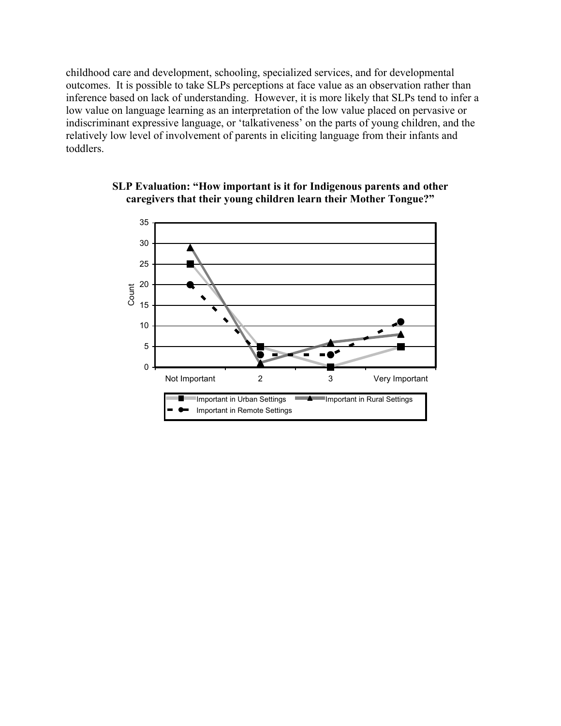childhood care and development, schooling, specialized services, and for developmental outcomes. It is possible to take SLPs perceptions at face value as an observation rather than inference based on lack of understanding. However, it is more likely that SLPs tend to infer a low value on language learning as an interpretation of the low value placed on pervasive or indiscriminant expressive language, or 'talkativeness' on the parts of young children, and the relatively low level of involvement of parents in eliciting language from their infants and toddlers.



## **SLP Evaluation: "How important is it for Indigenous parents and other caregivers that their young children learn their Mother Tongue?"**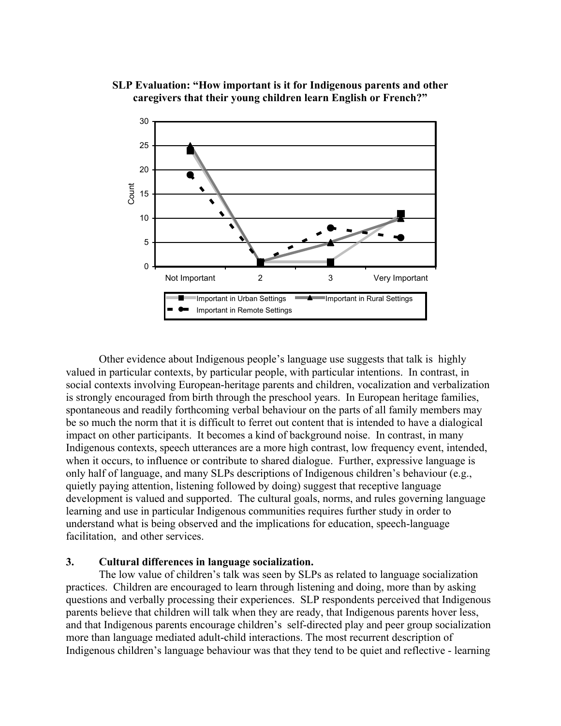# **SLP Evaluation: "How important is it for Indigenous parents and other caregivers that their young children learn English or French?"**



Other evidence about Indigenous people's language use suggests that talk is highly valued in particular contexts, by particular people, with particular intentions. In contrast, in social contexts involving European-heritage parents and children, vocalization and verbalization is strongly encouraged from birth through the preschool years. In European heritage families, spontaneous and readily forthcoming verbal behaviour on the parts of all family members may be so much the norm that it is difficult to ferret out content that is intended to have a dialogical impact on other participants. It becomes a kind of background noise. In contrast, in many Indigenous contexts, speech utterances are a more high contrast, low frequency event, intended, when it occurs, to influence or contribute to shared dialogue. Further, expressive language is only half of language, and many SLPs descriptions of Indigenous children's behaviour (e.g., quietly paying attention, listening followed by doing) suggest that receptive language development is valued and supported. The cultural goals, norms, and rules governing language learning and use in particular Indigenous communities requires further study in order to understand what is being observed and the implications for education, speech-language facilitation, and other services.

# **3. Cultural differences in language socialization.**

The low value of children's talk was seen by SLPs as related to language socialization practices. Children are encouraged to learn through listening and doing, more than by asking questions and verbally processing their experiences. SLP respondents perceived that Indigenous parents believe that children will talk when they are ready, that Indigenous parents hover less, and that Indigenous parents encourage children's self-directed play and peer group socialization more than language mediated adult-child interactions. The most recurrent description of Indigenous children's language behaviour was that they tend to be quiet and reflective - learning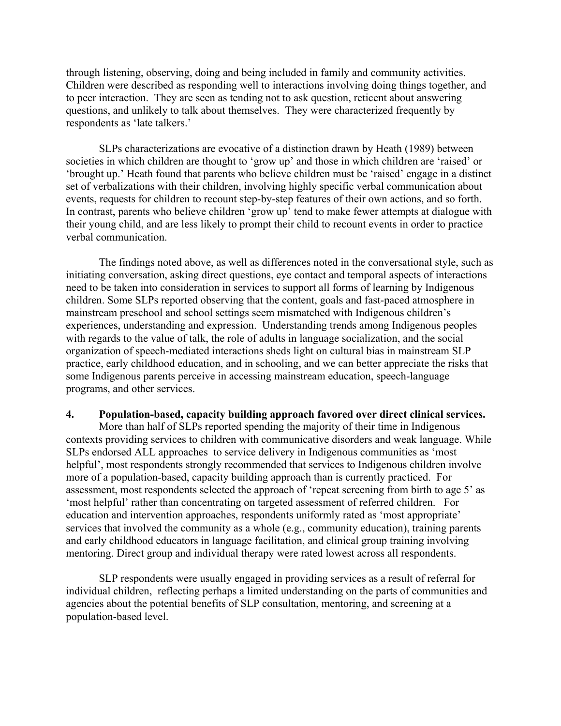through listening, observing, doing and being included in family and community activities. Children were described as responding well to interactions involving doing things together, and to peer interaction. They are seen as tending not to ask question, reticent about answering questions, and unlikely to talk about themselves. They were characterized frequently by respondents as 'late talkers.'

SLPs characterizations are evocative of a distinction drawn by Heath (1989) between societies in which children are thought to 'grow up' and those in which children are 'raised' or 'brought up.' Heath found that parents who believe children must be 'raised' engage in a distinct set of verbalizations with their children, involving highly specific verbal communication about events, requests for children to recount step-by-step features of their own actions, and so forth. In contrast, parents who believe children 'grow up' tend to make fewer attempts at dialogue with their young child, and are less likely to prompt their child to recount events in order to practice verbal communication.

The findings noted above, as well as differences noted in the conversational style, such as initiating conversation, asking direct questions, eye contact and temporal aspects of interactions need to be taken into consideration in services to support all forms of learning by Indigenous children. Some SLPs reported observing that the content, goals and fast-paced atmosphere in mainstream preschool and school settings seem mismatched with Indigenous children's experiences, understanding and expression. Understanding trends among Indigenous peoples with regards to the value of talk, the role of adults in language socialization, and the social organization of speech-mediated interactions sheds light on cultural bias in mainstream SLP practice, early childhood education, and in schooling, and we can better appreciate the risks that some Indigenous parents perceive in accessing mainstream education, speech-language programs, and other services.

#### **4. Population-based, capacity building approach favored over direct clinical services.**

More than half of SLPs reported spending the majority of their time in Indigenous contexts providing services to children with communicative disorders and weak language. While SLPs endorsed ALL approaches to service delivery in Indigenous communities as 'most helpful', most respondents strongly recommended that services to Indigenous children involve more of a population-based, capacity building approach than is currently practiced. For assessment, most respondents selected the approach of 'repeat screening from birth to age 5' as 'most helpful' rather than concentrating on targeted assessment of referred children. For education and intervention approaches, respondents uniformly rated as 'most appropriate' services that involved the community as a whole (e.g., community education), training parents and early childhood educators in language facilitation, and clinical group training involving mentoring. Direct group and individual therapy were rated lowest across all respondents.

SLP respondents were usually engaged in providing services as a result of referral for individual children, reflecting perhaps a limited understanding on the parts of communities and agencies about the potential benefits of SLP consultation, mentoring, and screening at a population-based level.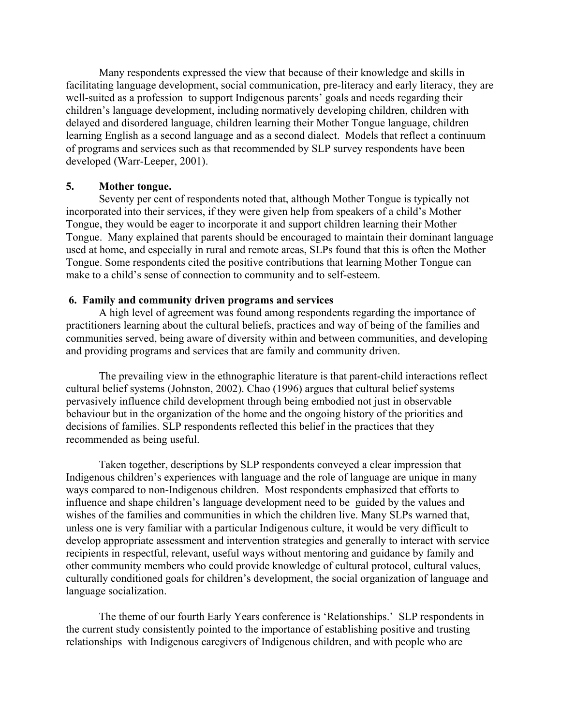Many respondents expressed the view that because of their knowledge and skills in facilitating language development, social communication, pre-literacy and early literacy, they are well-suited as a profession to support Indigenous parents' goals and needs regarding their children's language development, including normatively developing children, children with delayed and disordered language, children learning their Mother Tongue language, children learning English as a second language and as a second dialect. Models that reflect a continuum of programs and services such as that recommended by SLP survey respondents have been developed (Warr-Leeper, 2001).

#### **5. Mother tongue.**

 Seventy per cent of respondents noted that, although Mother Tongue is typically not incorporated into their services, if they were given help from speakers of a child's Mother Tongue, they would be eager to incorporate it and support children learning their Mother Tongue. Many explained that parents should be encouraged to maintain their dominant language used at home, and especially in rural and remote areas, SLPs found that this is often the Mother Tongue. Some respondents cited the positive contributions that learning Mother Tongue can make to a child's sense of connection to community and to self-esteem.

#### **6. Family and community driven programs and services**

A high level of agreement was found among respondents regarding the importance of practitioners learning about the cultural beliefs, practices and way of being of the families and communities served, being aware of diversity within and between communities, and developing and providing programs and services that are family and community driven.

The prevailing view in the ethnographic literature is that parent-child interactions reflect cultural belief systems (Johnston, 2002). Chao (1996) argues that cultural belief systems pervasively influence child development through being embodied not just in observable behaviour but in the organization of the home and the ongoing history of the priorities and decisions of families. SLP respondents reflected this belief in the practices that they recommended as being useful.

Taken together, descriptions by SLP respondents conveyed a clear impression that Indigenous children's experiences with language and the role of language are unique in many ways compared to non-Indigenous children. Most respondents emphasized that efforts to influence and shape children's language development need to be guided by the values and wishes of the families and communities in which the children live. Many SLPs warned that, unless one is very familiar with a particular Indigenous culture, it would be very difficult to develop appropriate assessment and intervention strategies and generally to interact with service recipients in respectful, relevant, useful ways without mentoring and guidance by family and other community members who could provide knowledge of cultural protocol, cultural values, culturally conditioned goals for children's development, the social organization of language and language socialization.

The theme of our fourth Early Years conference is 'Relationships.' SLP respondents in the current study consistently pointed to the importance of establishing positive and trusting relationships with Indigenous caregivers of Indigenous children, and with people who are